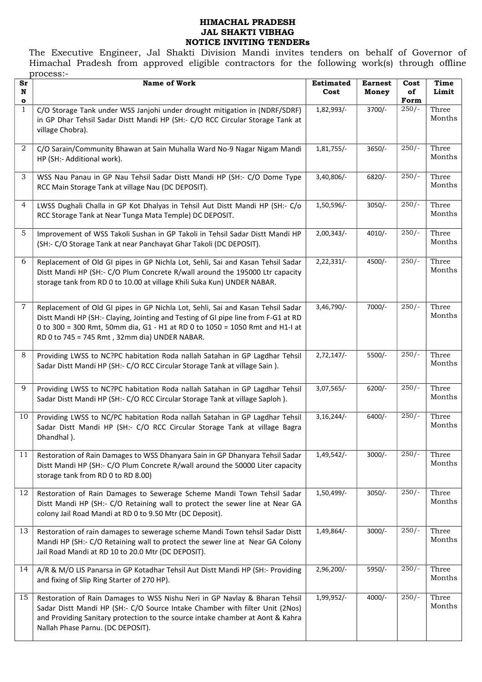#### HIMACHAL PRADESH JAL SHAKTI VIBHAG NOTICE INVITING TENDERs

The Executive Engineer, Jal Shakti Division Mandi invites tenders on behalf of Governor of Himachal Pradesh from approved eligible contractors for the following work(s) through offline process:-

| Sr<br>N<br>o   | <b>Name of Work</b>                                                                                                                                                                                                                                                                                    | <b>Estimated</b><br>Cost | <b>Earnest</b><br>Money | Cost<br>of<br>Form | Time<br>Limit   |
|----------------|--------------------------------------------------------------------------------------------------------------------------------------------------------------------------------------------------------------------------------------------------------------------------------------------------------|--------------------------|-------------------------|--------------------|-----------------|
| 1              | C/O Storage Tank under WSS Janjohi under drought mitigation in (NDRF/SDRF)<br>in GP Dhar Tehsil Sadar Distt Mandi HP (SH:- C/O RCC Circular Storage Tank at<br>village Chobra).                                                                                                                        | 1,82,993/-               | $3700/-$                | $250/-$            | Three<br>Months |
| 2              | C/O Sarain/Community Bhawan at Sain Muhalla Ward No-9 Nagar Nigam Mandi<br>HP (SH:- Additional work).                                                                                                                                                                                                  | 1,81,755/-               | $3650/-$                | $250/-$            | Three<br>Months |
| 3              | WSS Nau Panau in GP Nau Tehsil Sadar Distt Mandi HP (SH:- C/O Dome Type<br>RCC Main Storage Tank at village Nau (DC DEPOSIT).                                                                                                                                                                          | 3,40,806/-               | 6820/-                  | $250/-$            | Three<br>Months |
| 4              | LWSS Dughali Challa in GP Kot Dhalyas in Tehsil Aut Distt Mandi HP (SH:- C/o<br>RCC Storage Tank at Near Tunga Mata Temple) DC DEPOSIT.                                                                                                                                                                | 1,50,596/-               | $3050/-$                | $250/-$            | Three<br>Months |
| 5              | Improvement of WSS Takoli Sushan in GP Takoli in Tehsil Sadar Distt Mandi HP<br>(SH:- C/O Storage Tank at near Panchayat Ghar Takoli (DC DEPOSIT).                                                                                                                                                     | 2,00,343/                | $4010/-$                | $250/-$            | Three<br>Months |
| 6              | Replacement of Old GI pipes in GP Nichla Lot, Sehli, Sai and Kasan Tehsil Sadar<br>Distt Mandi HP (SH:- C/O Plum Concrete R/wall around the 195000 Ltr capacity<br>storage tank from RD 0 to 10.00 at village Khili Suka Kun) UNDER NABAR.                                                             | $2,22,331/-$             | 4500/-                  | $\frac{250}{}$     | Three<br>Months |
| $\overline{7}$ | Replacement of Old GI pipes in GP Nichla Lot, Sehli, Sai and Kasan Tehsil Sadar<br>Distt Mandi HP (SH:- Claying, Jointing and Testing of GI pipe line from F-G1 at RD<br>0 to 300 = 300 Rmt, 50mm dia, G1 - H1 at RD 0 to 1050 = 1050 Rmt and H1-I at<br>RD 0 to 745 = 745 Rmt, 32mm dia) UNDER NABAR. | 3,46,790/-               | 7000/-                  | $250/-$            | Three<br>Months |
| 8              | Providing LWSS to NC?PC habitation Roda nallah Satahan in GP Lagdhar Tehsil<br>Sadar Distt Mandi HP (SH:- C/O RCC Circular Storage Tank at village Sain).                                                                                                                                              | 2,72,147/                | 5500/-                  | $250/-$            | Three<br>Months |
| 9              | Providing LWSS to NC?PC habitation Roda nallah Satahan in GP Lagdhar Tehsil<br>Sadar Distt Mandi HP (SH:- C/O RCC Circular Storage Tank at village Saploh).                                                                                                                                            | $3,07,565/-$             | $6200/-$                | $250/-$            | Three<br>Months |
| 10             | Providing LWSS to NC/PC habitation Roda nallah Satahan in GP Lagdhar Tehsil<br>Sadar Distt Mandi HP (SH:- C/O RCC Circular Storage Tank at village Bagra<br>Dhandhal).                                                                                                                                 | $3,16,244/-$             | $6400/-$                | $250/-$            | Three<br>Months |
| 11             | Restoration of Rain Damages to WSS Dhanyara Sain in GP Dhanyara Tehsil Sadar<br>Distt Mandi HP (SH:- C/O Plum Concrete R/wall around the 50000 Liter capacity<br>storage tank from RD 0 to RD 8.00)                                                                                                    | 1,49,542/-               | $3000/-$                | $250/-$            | Three<br>Months |
| 12             | Restoration of Rain Damages to Sewerage Scheme Mandi Town Tehsil Sadar<br>Distt Mandi HP (SH:- C/O Retaining wall to protect the sewer line at Near GA<br>colony Jail Road Mandi at RD 0 to 9.50 Mtr (DC Deposit).                                                                                     | 1,50,499/-               | $3050/-$                | $250/-$            | Three<br>Months |
| 13             | Restoration of rain damages to sewerage scheme Mandi Town tehsil Sadar Distt<br>Mandi HP (SH:- C/O Retaining wall to protect the sewer line at Near GA Colony<br>Jail Road Mandi at RD 10 to 20.0 Mtr (DC DEPOSIT).                                                                                    | 1,49,864/-               | $3000/-$                | $250/-$            | Three<br>Months |
| 14             | A/R & M/O LIS Panarsa in GP Kotadhar Tehsil Aut Distt Mandi HP (SH:- Providing<br>and fixing of Slip Ring Starter of 270 HP).                                                                                                                                                                          | 2,96,200/-               | 5950/-                  | $250/-$            | Three<br>Months |
| 15             | Restoration of Rain Damages to WSS Nishu Neri in GP Navlay & Bharan Tehsil<br>Sadar Distt Mandi HP (SH:- C/O Source Intake Chamber with filter Unit (2Nos)<br>and Providing Sanitary protection to the source intake chamber at Aont & Kahra<br>Nallah Phase Parnu. (DC DEPOSIT).                      | 1,99,952/-               | $4000/-$                | $250/-$            | Three<br>Months |